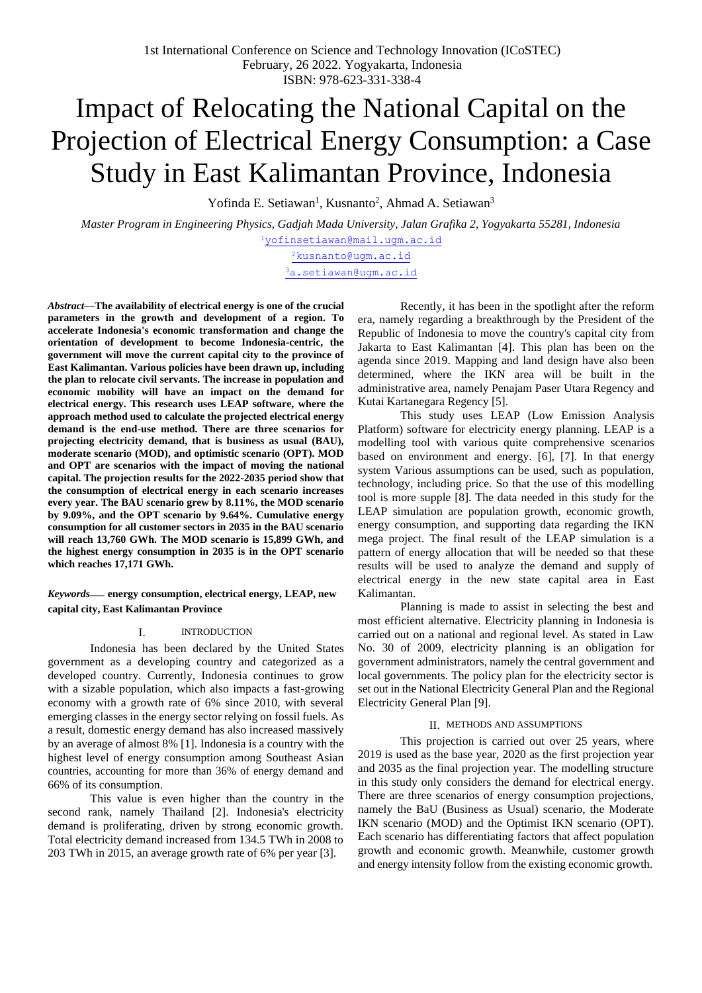# Impact of Relocating the National Capital on the Projection of Electrical Energy Consumption: a Case Study in East Kalimantan Province, Indonesia

Yofinda E. Setiawan<sup>1</sup>, Kusnanto<sup>2</sup>, Ahmad A. Setiawan<sup>3</sup>

*Master Program in Engineering Physics, Gadjah Mada University, Jalan Grafika 2, Yogyakarta 55281, Indonesia* [1](mailto:1first.author@first-third.edu)[yofinsetiawan@mail.ugm.ac.id](mailto:yofinsetiawan@mail.ugm.ac.id)

> <sup>[2](mailto:2kusnanto@ugm.ac.id)</sup>[kusnanto@ugm.ac.id](mailto:2kusnanto@ugm.ac.id) <sup>3</sup>[a.setiawan@ugm.ac.id](mailto:3a.setiawan@ugm.ac.id)

*Abstract***—The availability of electrical energy is one of the crucial parameters in the growth and development of a region. To accelerate Indonesia's economic transformation and change the orientation of development to become Indonesia-centric, the government will move the current capital city to the province of East Kalimantan. Various policies have been drawn up, including the plan to relocate civil servants. The increase in population and economic mobility will have an impact on the demand for electrical energy. This research uses LEAP software, where the approach method used to calculate the projected electrical energy demand is the end-use method. There are three scenarios for projecting electricity demand, that is business as usual (BAU), moderate scenario (MOD), and optimistic scenario (OPT). MOD and OPT are scenarios with the impact of moving the national capital. The projection results for the 2022-2035 period show that the consumption of electrical energy in each scenario increases every year. The BAU scenario grew by 8.11%, the MOD scenario by 9.09%, and the OPT scenario by 9.64%. Cumulative energy consumption for all customer sectors in 2035 in the BAU scenario will reach 13,760 GWh. The MOD scenario is 15,899 GWh, and the highest energy consumption in 2035 is in the OPT scenario which reaches 17,171 GWh.**

*Keywords*— **energy consumption, electrical energy, LEAP, new capital city, East Kalimantan Province**

#### I. INTRODUCTION

Indonesia has been declared by the United States government as a developing country and categorized as a developed country. Currently, Indonesia continues to grow with a sizable population, which also impacts a fast-growing economy with a growth rate of 6% since 2010, with several emerging classes in the energy sector relying on fossil fuels. As a result, domestic energy demand has also increased massively by an average of almost 8% [1]. Indonesia is a country with the highest level of energy consumption among Southeast Asian countries, accounting for more than 36% of energy demand and 66% of its consumption.

This value is even higher than the country in the second rank, namely Thailand [2]. Indonesia's electricity demand is proliferating, driven by strong economic growth. Total electricity demand increased from 134.5 TWh in 2008 to 203 TWh in 2015, an average growth rate of 6% per year [3].

Recently, it has been in the spotlight after the reform era, namely regarding a breakthrough by the President of the Republic of Indonesia to move the country's capital city from Jakarta to East Kalimantan [4]. This plan has been on the agenda since 2019. Mapping and land design have also been determined, where the IKN area will be built in the administrative area, namely Penajam Paser Utara Regency and Kutai Kartanegara Regency [5].

This study uses LEAP (Low Emission Analysis Platform) software for electricity energy planning. LEAP is a modelling tool with various quite comprehensive scenarios based on environment and energy. [6], [7]. In that energy system Various assumptions can be used, such as population, technology, including price. So that the use of this modelling tool is more supple [8]. The data needed in this study for the LEAP simulation are population growth, economic growth, energy consumption, and supporting data regarding the IKN mega project. The final result of the LEAP simulation is a pattern of energy allocation that will be needed so that these results will be used to analyze the demand and supply of electrical energy in the new state capital area in East Kalimantan.

Planning is made to assist in selecting the best and most efficient alternative. Electricity planning in Indonesia is carried out on a national and regional level. As stated in Law No. 30 of 2009, electricity planning is an obligation for government administrators, namely the central government and local governments. The policy plan for the electricity sector is set out in the National Electricity General Plan and the Regional Electricity General Plan [9].

#### II. METHODS AND ASSUMPTIONS

This projection is carried out over 25 years, where 2019 is used as the base year, 2020 as the first projection year and 2035 as the final projection year. The modelling structure in this study only considers the demand for electrical energy. There are three scenarios of energy consumption projections, namely the BaU (Business as Usual) scenario, the Moderate IKN scenario (MOD) and the Optimist IKN scenario (OPT). Each scenario has differentiating factors that affect population growth and economic growth. Meanwhile, customer growth and energy intensity follow from the existing economic growth.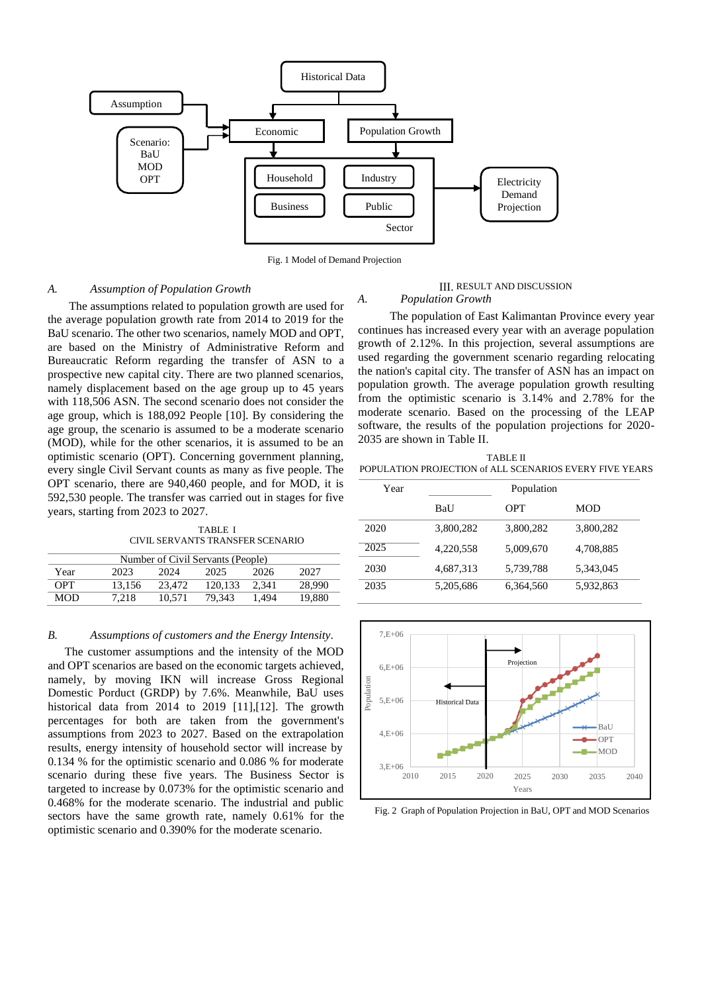

Fig. 1 Model of Demand Projection

## *A. Assumption of Population Growth*

The assumptions related to population growth are used for the average population growth rate from 2014 to 2019 for the BaU scenario. The other two scenarios, namely MOD and OPT, are based on the Ministry of Administrative Reform and Bureaucratic Reform regarding the transfer of ASN to a prospective new capital city. There are two planned scenarios, namely displacement based on the age group up to 45 years with 118,506 ASN. The second scenario does not consider the age group, which is 188,092 People [10]. By considering the age group, the scenario is assumed to be a moderate scenario (MOD), while for the other scenarios, it is assumed to be an optimistic scenario (OPT). Concerning government planning, every single Civil Servant counts as many as five people. The OPT scenario, there are 940,460 people, and for MOD, it is 592,530 people. The transfer was carried out in stages for five years, starting from 2023 to 2027.

TABLE I CIVIL SERVANTS TRANSFER SCENARIO

| Number of Civil Servants (People) |        |        |         |       |        |
|-----------------------------------|--------|--------|---------|-------|--------|
| Year                              | 2023   | 2024   | 2025    | 2026  | 2027   |
| <b>OPT</b>                        | 13.156 | 23.472 | 120.133 | 2.341 | 28,990 |
| <b>MOD</b>                        | 7.218  | 10.571 | 79.343  | 1.494 | 19.880 |

#### *B. Assumptions of customers and the Energy Intensity*.

The customer assumptions and the intensity of the MOD and OPT scenarios are based on the economic targets achieved, namely, by moving IKN will increase Gross Regional Domestic Porduct (GRDP) by 7.6%. Meanwhile, BaU uses historical data from 2014 to 2019 [11],[12]. The growth percentages for both are taken from the government's assumptions from 2023 to 2027. Based on the extrapolation results, energy intensity of household sector will increase by 0.134 % for the optimistic scenario and 0.086 % for moderate scenario during these five years. The Business Sector is targeted to increase by 0.073% for the optimistic scenario and 0.468% for the moderate scenario. The industrial and public sectors have the same growth rate, namely 0.61% for the optimistic scenario and 0.390% for the moderate scenario.

#### III. RESULT AND DISCUSSION *A. Population Growth*

The population of East Kalimantan Province every year continues has increased every year with an average population growth of 2.12%. In this projection, several assumptions are used regarding the government scenario regarding relocating the nation's capital city. The transfer of ASN has an impact on population growth. The average population growth resulting from the optimistic scenario is 3.14% and 2.78% for the moderate scenario. Based on the processing of the LEAP software, the results of the population projections for 2020- 2035 are shown in Table II.

TABLE II POPULATION PROJECTION of ALL SCENARIOS EVERY FIVE YEARS

| Year | Population |           |            |
|------|------------|-----------|------------|
|      | BaU        | OPT       | <b>MOD</b> |
| 2020 | 3,800,282  | 3,800,282 | 3,800,282  |
| 2025 | 4,220,558  | 5,009,670 | 4,708,885  |
| 2030 | 4,687,313  | 5,739,788 | 5,343,045  |
| 2035 | 5,205,686  | 6,364,560 | 5,932,863  |



Fig. 2 Graph of Population Projection in BaU, OPT and MOD Scenarios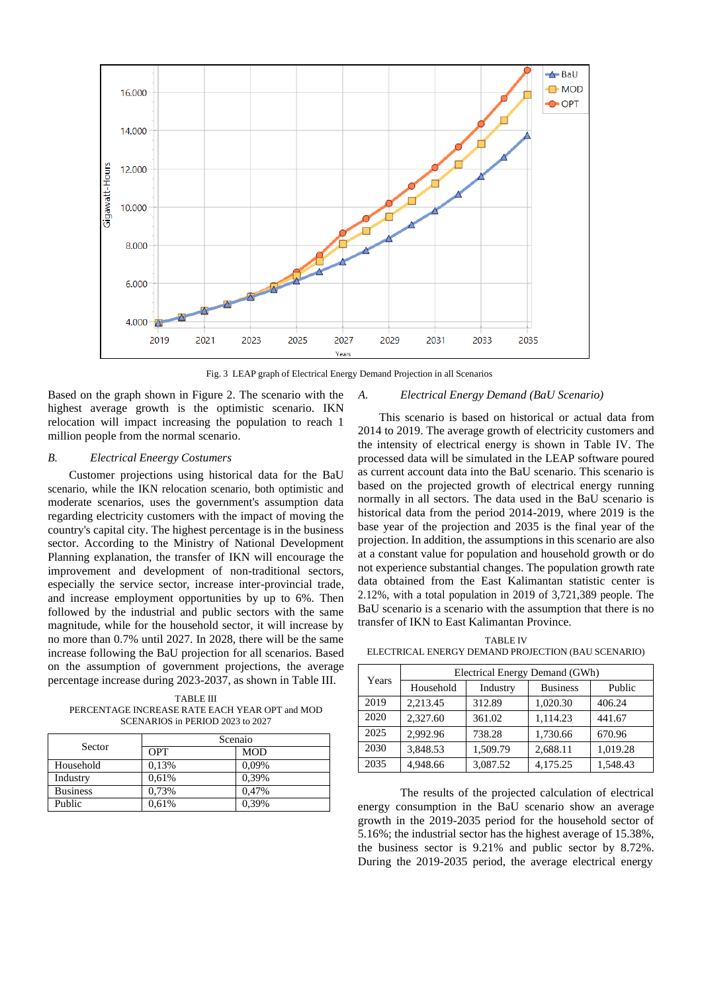

Fig. 3 LEAP graph of Electrical Energy Demand Projection in all Scenarios

Based on the graph shown in Figure 2. The scenario with the highest average growth is the optimistic scenario. IKN relocation will impact increasing the population to reach 1 million people from the normal scenario.

# *B. Electrical Eneergy Costumers*

Customer projections using historical data for the BaU scenario, while the IKN relocation scenario, both optimistic and moderate scenarios, uses the government's assumption data regarding electricity customers with the impact of moving the country's capital city. The highest percentage is in the business sector. According to the Ministry of National Development Planning explanation, the transfer of IKN will encourage the improvement and development of non-traditional sectors, especially the service sector, increase inter-provincial trade, and increase employment opportunities by up to 6%. Then followed by the industrial and public sectors with the same magnitude, while for the household sector, it will increase by no more than 0.7% until 2027. In 2028, there will be the same increase following the BaU projection for all scenarios. Based on the assumption of government projections, the average percentage increase during 2023-2037, as shown in Table III.

TABLE III PERCENTAGE INCREASE RATE EACH YEAR OPT and MOD SCENARIOS in PERIOD 2023 to 2027

| Sector          | Scenaio    |            |  |
|-----------------|------------|------------|--|
|                 | <b>OPT</b> | <b>MOD</b> |  |
| Household       | 0,13%      | 0,09%      |  |
| Industry        | 0,61%      | 0.39%      |  |
| <b>Business</b> | 0,73%      | 0,47%      |  |
| Public          | 0,61%      | 0,39%      |  |

#### *A. Electrical Energy Demand (BaU Scenario)*

This scenario is based on historical or actual data from 2014 to 2019. The average growth of electricity customers and the intensity of electrical energy is shown in Table IV. The processed data will be simulated in the LEAP software poured as current account data into the BaU scenario. This scenario is based on the projected growth of electrical energy running normally in all sectors. The data used in the BaU scenario is historical data from the period 2014-2019, where 2019 is the base year of the projection and 2035 is the final year of the projection. In addition, the assumptions in this scenario are also at a constant value for population and household growth or do not experience substantial changes. The population growth rate data obtained from the East Kalimantan statistic center is 2.12%, with a total population in 2019 of 3,721,389 people. The BaU scenario is a scenario with the assumption that there is no transfer of IKN to East Kalimantan Province.

TABLE IV ELECTRICAL ENERGY DEMAND PROJECTION (BAU SCENARIO)

| Years | Electrical Energy Demand (GWh) |          |                 |          |
|-------|--------------------------------|----------|-----------------|----------|
|       | Household                      | Industry | <b>Business</b> | Public   |
| 2019  | 2,213.45                       | 312.89   | 1,020.30        | 406.24   |
| 2020  | 2,327.60                       | 361.02   | 1,114.23        | 441.67   |
| 2025  | 2.992.96                       | 738.28   | 1,730.66        | 670.96   |
| 2030  | 3,848.53                       | 1.509.79 | 2,688.11        | 1,019.28 |
| 2035  | 4,948.66                       | 3,087.52 | 4,175.25        | 1,548.43 |

The results of the projected calculation of electrical energy consumption in the BaU scenario show an average growth in the 2019-2035 period for the household sector of 5.16%; the industrial sector has the highest average of 15.38%, the business sector is 9.21% and public sector by 8.72%. During the 2019-2035 period, the average electrical energy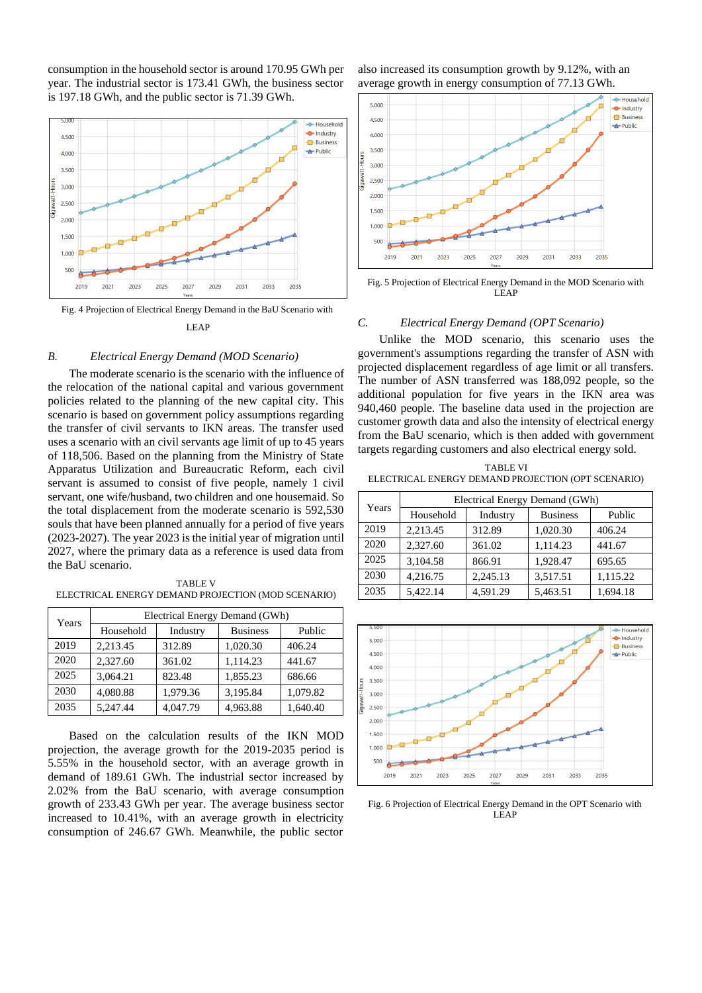consumption in the household sector is around 170.95 GWh per year. The industrial sector is 173.41 GWh, the business sector is 197.18 GWh, and the public sector is 71.39 GWh.



# Fig. 4 Projection of Electrical Energy Demand in the BaU Scenario with LEAP

## *B. Electrical Energy Demand (MOD Scenario)*

The moderate scenario is the scenario with the influence of the relocation of the national capital and various government policies related to the planning of the new capital city. This scenario is based on government policy assumptions regarding the transfer of civil servants to IKN areas. The transfer used uses a scenario with an civil servants age limit of up to 45 years of 118,506. Based on the planning from the Ministry of State Apparatus Utilization and Bureaucratic Reform, each civil servant is assumed to consist of five people, namely 1 civil servant, one wife/husband, two children and one housemaid. So the total displacement from the moderate scenario is 592,530 souls that have been planned annually for a period of five years (2023-2027). The year 2023 is the initial year of migration until 2027, where the primary data as a reference is used data from the BaU scenario.

TABLE V ELECTRICAL ENERGY DEMAND PROJECTION (MOD SCENARIO)

| Years | Electrical Energy Demand (GWh) |          |                 |          |
|-------|--------------------------------|----------|-----------------|----------|
|       | Household                      | Industry | <b>Business</b> | Public   |
| 2019  | 2,213.45                       | 312.89   | 1,020.30        | 406.24   |
| 2020  | 2,327.60                       | 361.02   | 1.114.23        | 441.67   |
| 2025  | 3.064.21                       | 823.48   | 1,855.23        | 686.66   |
| 2030  | 4,080.88                       | 1,979.36 | 3,195.84        | 1,079.82 |
| 2035  | 5,247.44                       | 4,047.79 | 4,963.88        | 1,640.40 |

Based on the calculation results of the IKN MOD projection, the average growth for the 2019-2035 period is 5.55% in the household sector, with an average growth in demand of 189.61 GWh. The industrial sector increased by 2.02% from the BaU scenario, with average consumption growth of 233.43 GWh per year. The average business sector increased to 10.41%, with an average growth in electricity consumption of 246.67 GWh. Meanwhile, the public sector

also increased its consumption growth by 9.12%, with an average growth in energy consumption of 77.13 GWh.



Fig. 5 Projection of Electrical Energy Demand in the MOD Scenario with LEAP

## *C. Electrical Energy Demand (OPT Scenario)*

Unlike the MOD scenario, this scenario uses the government's assumptions regarding the transfer of ASN with projected displacement regardless of age limit or all transfers. The number of ASN transferred was 188,092 people, so the additional population for five years in the IKN area was 940,460 people. The baseline data used in the projection are customer growth data and also the intensity of electrical energy from the BaU scenario, which is then added with government targets regarding customers and also electrical energy sold.

TABLE VI ELECTRICAL ENERGY DEMAND PROJECTION (OPT SCENARIO)

| Years | Electrical Energy Demand (GWh) |          |                 |          |
|-------|--------------------------------|----------|-----------------|----------|
|       | Household                      | Industry | <b>Business</b> | Public   |
| 2019  | 2,213.45                       | 312.89   | 1,020.30        | 406.24   |
| 2020  | 2,327.60                       | 361.02   | 1,114.23        | 441.67   |
| 2025  | 3,104.58                       | 866.91   | 1,928.47        | 695.65   |
| 2030  | 4,216.75                       | 2,245.13 | 3,517.51        | 1,115.22 |
| 2035  | 5,422.14                       | 4,591.29 | 5,463.51        | 1,694.18 |



Fig. 6 Projection of Electrical Energy Demand in the OPT Scenario with LEAP